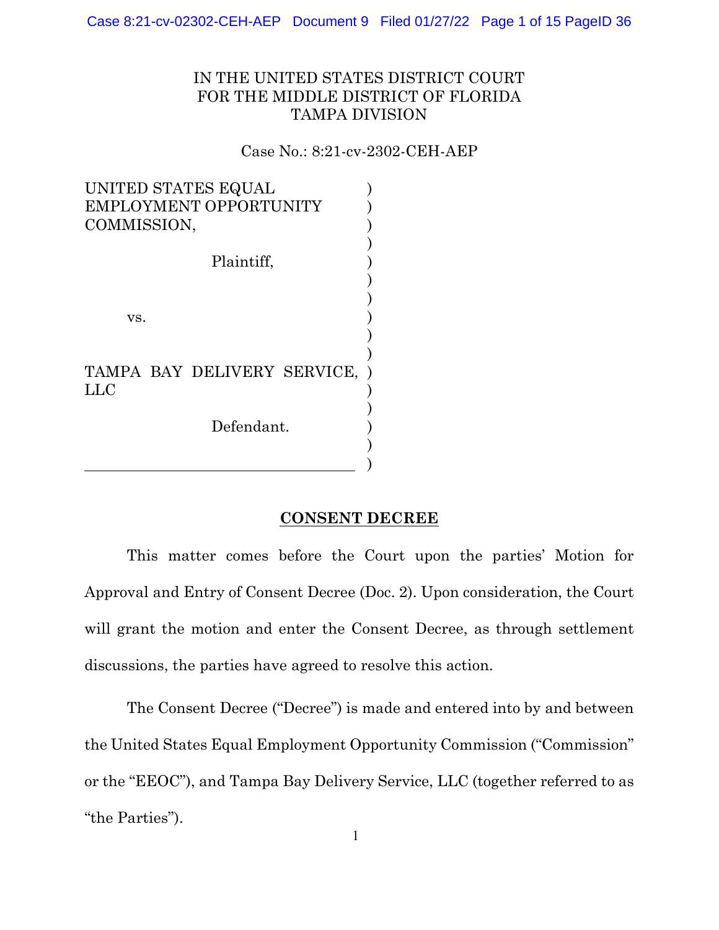Case 8:21-cv-02302-CEH-AEP Document 9 Filed 01/27/22 Page 1 of 15 PageID 36

# IN THE UNITED STATES DISTRICT COURT FOR THE MIDDLE DISTRICT OF FLORIDA TAMPA DIVISION

Case No.: 8:21-cv-2302-CEH-AEP

| UNITED STATES EQUAL<br>EMPLOYMENT OPPORTUNITY<br>COMMISSION, |  |
|--------------------------------------------------------------|--|
| Plaintiff,                                                   |  |
|                                                              |  |
| VS.                                                          |  |
|                                                              |  |
| TAMPA BAY DELIVERY SERVICE,                                  |  |
| LLC                                                          |  |
| Defendant.                                                   |  |
|                                                              |  |

# **CONSENT DECREE**

)

This matter comes before the Court upon the parties' Motion for Approval and Entry of Consent Decree (Doc. 2). Upon consideration, the Court will grant the motion and enter the Consent Decree, as through settlement discussions, the parties have agreed to resolve this action.

The Consent Decree ("Decree") is made and entered into by and between the United States Equal Employment Opportunity Commission ("Commission" or the "EEOC"), and Tampa Bay Delivery Service, LLC (together referred to as "the Parties").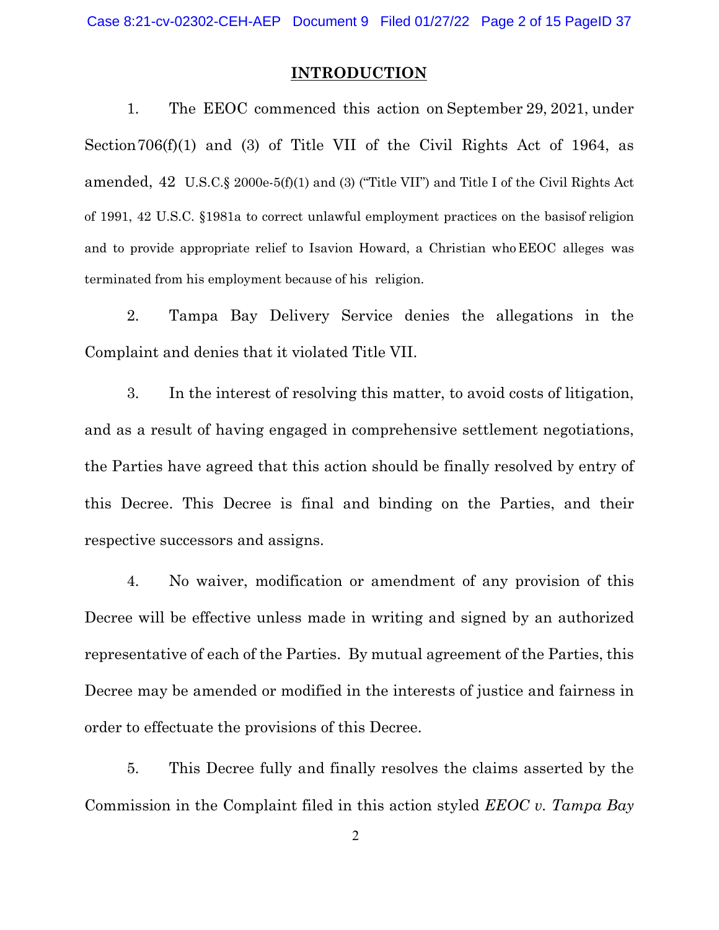### **INTRODUCTION**

1. The EEOC commenced this action on September 29, 2021, under Section706(f)(1) and (3) of Title VII of the Civil Rights Act of 1964, as amended, 42 U.S.C.§ 2000e-5(f)(1) and (3) ("Title VII") and Title I of the Civil Rights Act of 1991, 42 U.S.C. §1981a to correct unlawful employment practices on the basisof religion and to provide appropriate relief to Isavion Howard, a Christian whoEEOC alleges was terminated from his employment because of his religion.

2. Tampa Bay Delivery Service denies the allegations in the Complaint and denies that it violated Title VII.

3. In the interest of resolving this matter, to avoid costs of litigation, and as a result of having engaged in comprehensive settlement negotiations, the Parties have agreed that this action should be finally resolved by entry of this Decree. This Decree is final and binding on the Parties, and their respective successors and assigns.

4. No waiver, modification or amendment of any provision of this Decree will be effective unless made in writing and signed by an authorized representative of each of the Parties. By mutual agreement of the Parties, this Decree may be amended or modified in the interests of justice and fairness in order to effectuate the provisions of this Decree.

5. This Decree fully and finally resolves the claims asserted by the Commission in the Complaint filed in this action styled *EEOC v. Tampa Bay*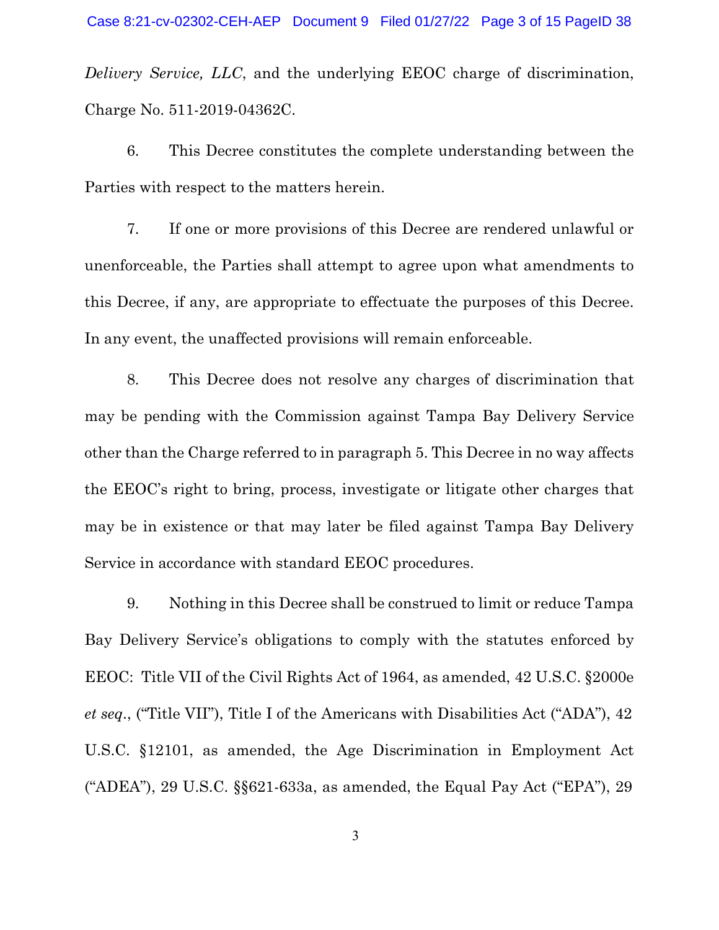*Delivery Service, LLC*, and the underlying EEOC charge of discrimination, Charge No. 511-2019-04362C.

6. This Decree constitutes the complete understanding between the Parties with respect to the matters herein.

7. If one or more provisions of this Decree are rendered unlawful or unenforceable, the Parties shall attempt to agree upon what amendments to this Decree, if any, are appropriate to effectuate the purposes of this Decree. In any event, the unaffected provisions will remain enforceable.

8. This Decree does not resolve any charges of discrimination that may be pending with the Commission against Tampa Bay Delivery Service other than the Charge referred to in paragraph 5. This Decree in no way affects the EEOC's right to bring, process, investigate or litigate other charges that may be in existence or that may later be filed against Tampa Bay Delivery Service in accordance with standard EEOC procedures.

9. Nothing in this Decree shall be construed to limit or reduce Tampa Bay Delivery Service's obligations to comply with the statutes enforced by EEOC: Title VII of the Civil Rights Act of 1964, as amended, 42 U.S.C. §2000e *et seq*., ("Title VII"), Title I of the Americans with Disabilities Act ("ADA"), 42 U.S.C. §12101, as amended, the Age Discrimination in Employment Act ("ADEA"), 29 U.S.C. §§621-633a, as amended, the Equal Pay Act ("EPA"), 29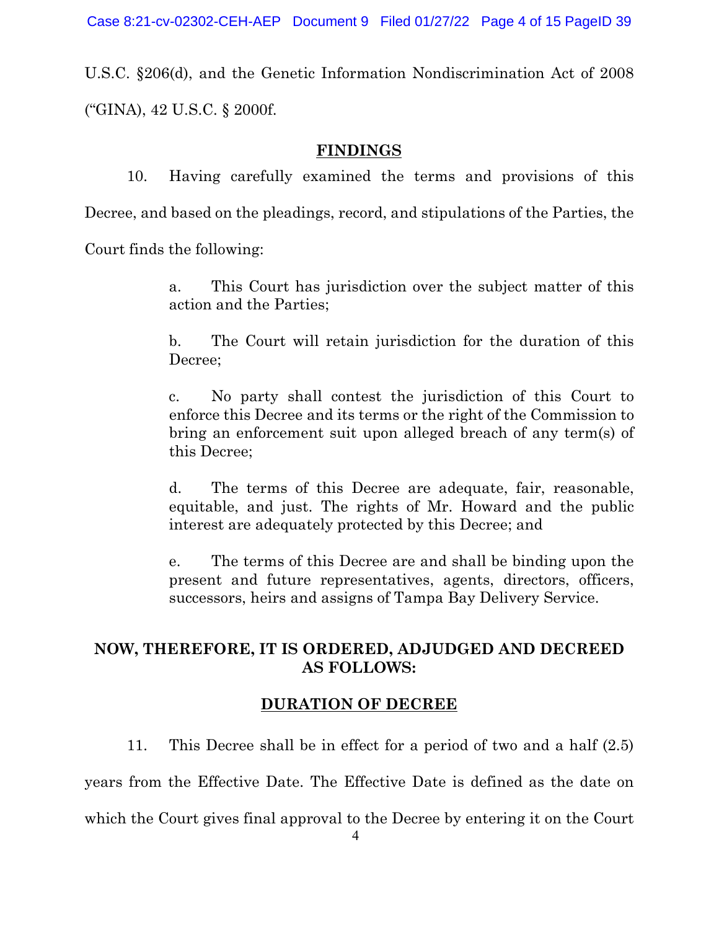U.S.C. §206(d), and the Genetic Information Nondiscrimination Act of 2008 ("GINA), 42 U.S.C. § 2000f.

## **FINDINGS**

10. Having carefully examined the terms and provisions of this Decree, and based on the pleadings, record, and stipulations of the Parties, the Court finds the following:

> a. This Court has jurisdiction over the subject matter of this action and the Parties;

> b. The Court will retain jurisdiction for the duration of this Decree;

> c. No party shall contest the jurisdiction of this Court to enforce this Decree and its terms or the right of the Commission to bring an enforcement suit upon alleged breach of any term(s) of this Decree;

> d. The terms of this Decree are adequate, fair, reasonable, equitable, and just. The rights of Mr. Howard and the public interest are adequately protected by this Decree; and

> e. The terms of this Decree are and shall be binding upon the present and future representatives, agents, directors, officers, successors, heirs and assigns of Tampa Bay Delivery Service.

# **NOW, THEREFORE, IT IS ORDERED, ADJUDGED AND DECREED AS FOLLOWS:**

# **DURATION OF DECREE**

11. This Decree shall be in effect for a period of two and a half (2.5)

years from the Effective Date. The Effective Date is defined as the date on

which the Court gives final approval to the Decree by entering it on the Court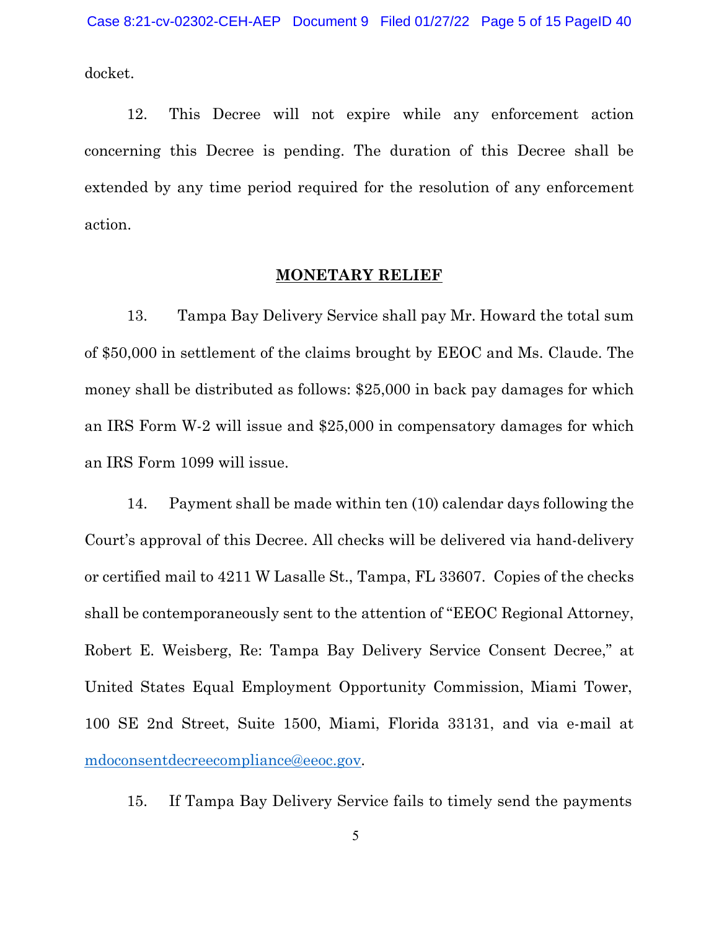docket.

12. This Decree will not expire while any enforcement action concerning this Decree is pending. The duration of this Decree shall be extended by any time period required for the resolution of any enforcement action.

## **MONETARY RELIEF**

13. Tampa Bay Delivery Service shall pay Mr. Howard the total sum of \$50,000 in settlement of the claims brought by EEOC and Ms. Claude. The money shall be distributed as follows: \$25,000 in back pay damages for which an IRS Form W-2 will issue and \$25,000 in compensatory damages for which an IRS Form 1099 will issue.

14. Payment shall be made within ten (10) calendar days following the Court's approval of this Decree. All checks will be delivered via hand-delivery or certified mail to 4211 W Lasalle St., Tampa, FL 33607. Copies of the checks shall be contemporaneously sent to the attention of "EEOC Regional Attorney, Robert E. Weisberg, Re: Tampa Bay Delivery Service Consent Decree," at United States Equal Employment Opportunity Commission, Miami Tower, 100 SE 2nd Street, Suite 1500, Miami, Florida 33131, and via e-mail at [mdoconsentdecreecompliance@eeoc.gov.](mailto:mdoconsentdecreecompliance@eeoc.gov)

15. If Tampa Bay Delivery Service fails to timely send the payments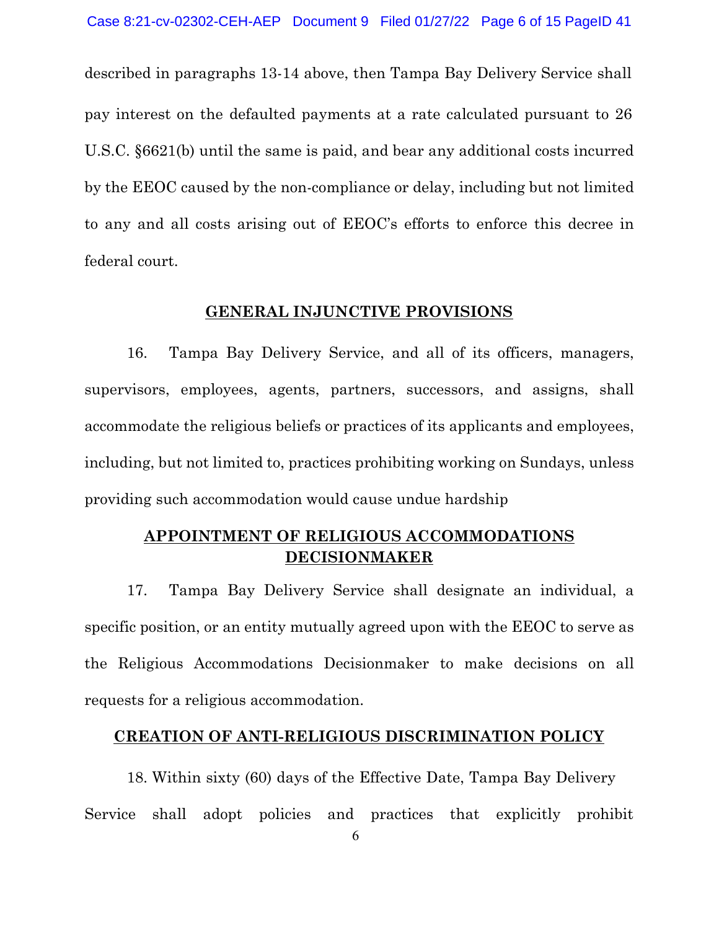described in paragraphs 13-14 above, then Tampa Bay Delivery Service shall pay interest on the defaulted payments at a rate calculated pursuant to 26 U.S.C. §6621(b) until the same is paid, and bear any additional costs incurred by the EEOC caused by the non-compliance or delay, including but not limited to any and all costs arising out of EEOC's efforts to enforce this decree in federal court.

# **GENERAL INJUNCTIVE PROVISIONS**

16. Tampa Bay Delivery Service, and all of its officers, managers, supervisors, employees, agents, partners, successors, and assigns, shall accommodate the religious beliefs or practices of its applicants and employees, including, but not limited to, practices prohibiting working on Sundays, unless providing such accommodation would cause undue hardship

# **APPOINTMENT OF RELIGIOUS ACCOMMODATIONS DECISIONMAKER**

17. Tampa Bay Delivery Service shall designate an individual, a specific position, or an entity mutually agreed upon with the EEOC to serve as the Religious Accommodations Decisionmaker to make decisions on all requests for a religious accommodation.

## **CREATION OF ANTI-RELIGIOUS DISCRIMINATION POLICY**

18. Within sixty (60) days of the Effective Date, Tampa Bay Delivery Service shall adopt policies and practices that explicitly prohibit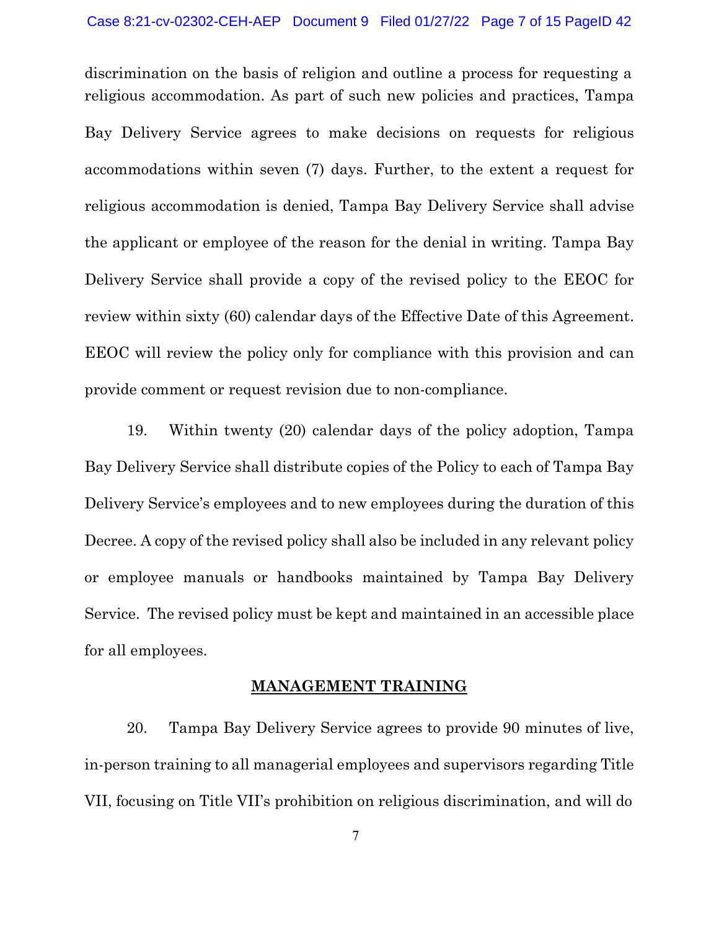discrimination on the basis of religion and outline a process for requesting a religious accommodation. As part of such new policies and practices, Tampa Bay Delivery Service agrees to make decisions on requests for religious accommodations within seven (7) days. Further, to the extent a request for religious accommodation is denied, Tampa Bay Delivery Service shall advise the applicant or employee of the reason for the denial in writing. Tampa Bay Delivery Service shall provide a copy of the revised policy to the EEOC for review within sixty (60) calendar days of the Effective Date of this Agreement. EEOC will review the policy only for compliance with this provision and can provide comment or request revision due to non-compliance.

19. Within twenty (20) calendar days of the policy adoption, Tampa Bay Delivery Service shall distribute copies of the Policy to each of Tampa Bay Delivery Service's employees and to new employees during the duration of this Decree. A copy of the revised policy shall also be included in any relevant policy or employee manuals or handbooks maintained by Tampa Bay Delivery Service. The revised policy must be kept and maintained in an accessible place for all employees.

# **MANAGEMENT TRAINING**

20. Tampa Bay Delivery Service agrees to provide 90 minutes of live, in-person training to all managerial employees and supervisors regarding Title VII, focusing on Title VII's prohibition on religious discrimination, and will do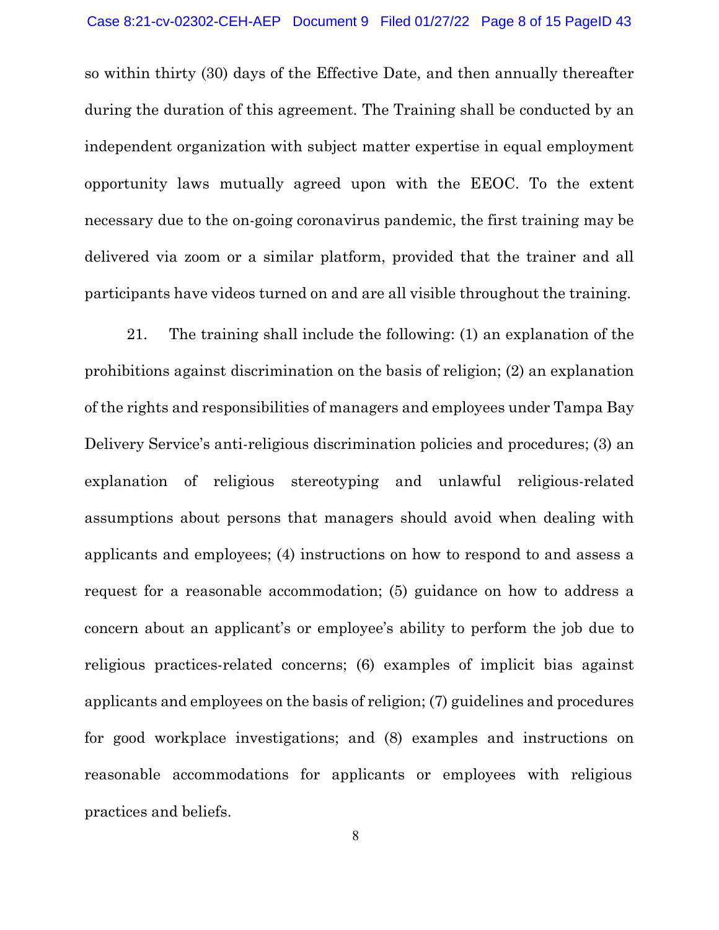so within thirty (30) days of the Effective Date, and then annually thereafter during the duration of this agreement. The Training shall be conducted by an independent organization with subject matter expertise in equal employment opportunity laws mutually agreed upon with the EEOC. To the extent necessary due to the on-going coronavirus pandemic, the first training may be delivered via zoom or a similar platform, provided that the trainer and all participants have videos turned on and are all visible throughout the training.

21. The training shall include the following: (1) an explanation of the prohibitions against discrimination on the basis of religion; (2) an explanation of the rights and responsibilities of managers and employees under Tampa Bay Delivery Service's anti-religious discrimination policies and procedures; (3) an explanation of religious stereotyping and unlawful religious-related assumptions about persons that managers should avoid when dealing with applicants and employees; (4) instructions on how to respond to and assess a request for a reasonable accommodation; (5) guidance on how to address a concern about an applicant's or employee's ability to perform the job due to religious practices-related concerns; (6) examples of implicit bias against applicants and employees on the basis of religion; (7) guidelines and procedures for good workplace investigations; and (8) examples and instructions on reasonable accommodations for applicants or employees with religious practices and beliefs.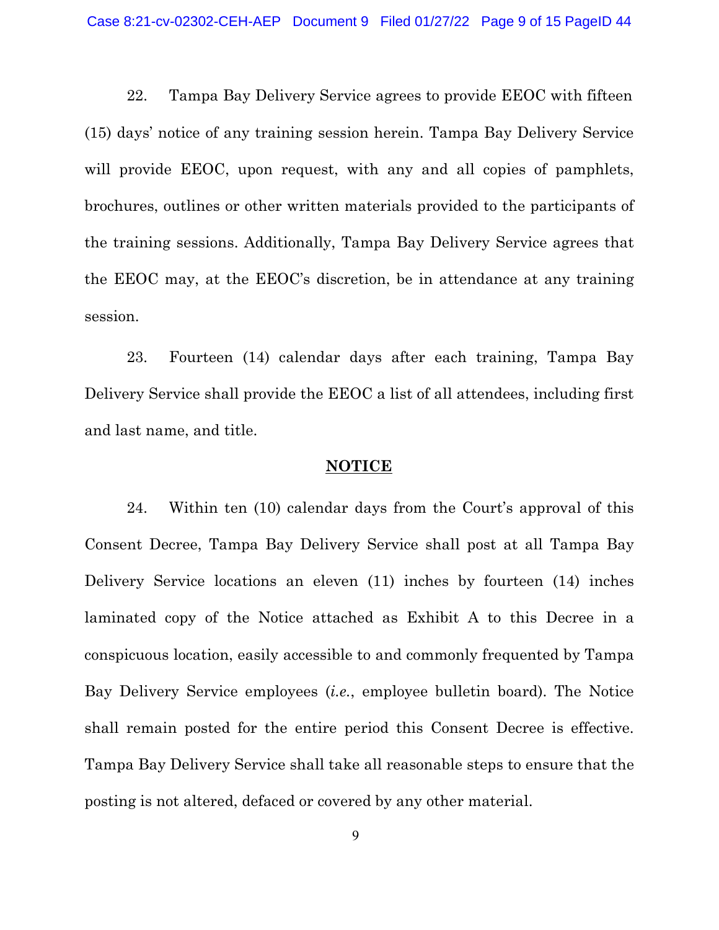22. Tampa Bay Delivery Service agrees to provide EEOC with fifteen (15) days' notice of any training session herein. Tampa Bay Delivery Service will provide EEOC, upon request, with any and all copies of pamphlets, brochures, outlines or other written materials provided to the participants of the training sessions. Additionally, Tampa Bay Delivery Service agrees that the EEOC may, at the EEOC's discretion, be in attendance at any training session.

23. Fourteen (14) calendar days after each training, Tampa Bay Delivery Service shall provide the EEOC a list of all attendees, including first and last name, and title.

#### **NOTICE**

24. Within ten (10) calendar days from the Court's approval of this Consent Decree, Tampa Bay Delivery Service shall post at all Tampa Bay Delivery Service locations an eleven (11) inches by fourteen (14) inches laminated copy of the Notice attached as Exhibit A to this Decree in a conspicuous location, easily accessible to and commonly frequented by Tampa Bay Delivery Service employees (*i.e.*, employee bulletin board). The Notice shall remain posted for the entire period this Consent Decree is effective. Tampa Bay Delivery Service shall take all reasonable steps to ensure that the posting is not altered, defaced or covered by any other material.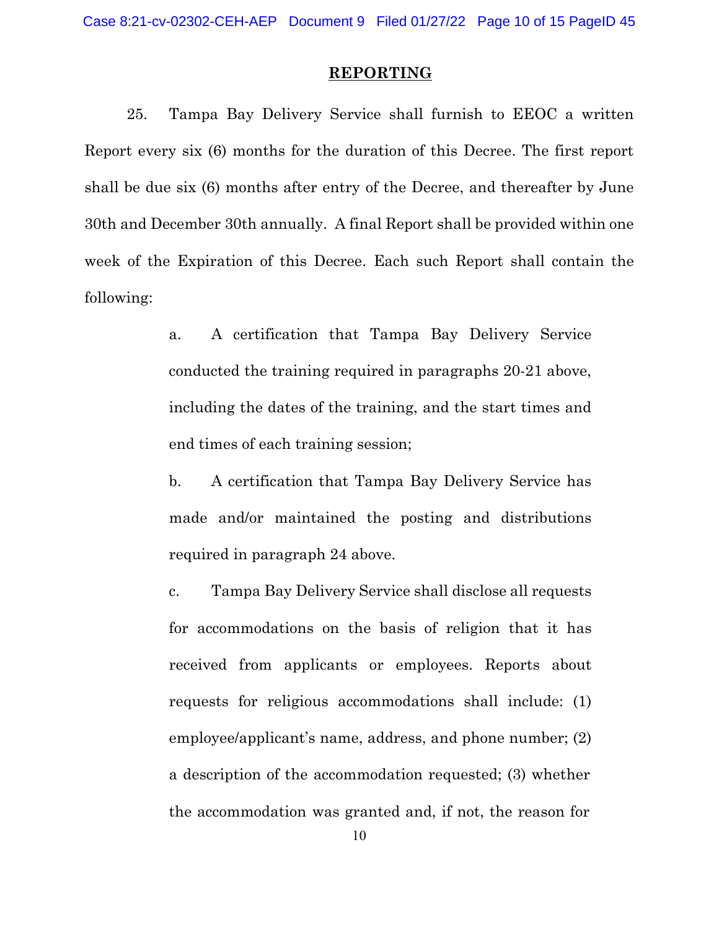## **REPORTING**

25. Tampa Bay Delivery Service shall furnish to EEOC a written Report every six (6) months for the duration of this Decree. The first report shall be due six (6) months after entry of the Decree, and thereafter by June 30th and December 30th annually. A final Report shall be provided within one week of the Expiration of this Decree. Each such Report shall contain the following:

- a. A certification that Tampa Bay Delivery Service conducted the training required in paragraphs 20-21 above, including the dates of the training, and the start times and end times of each training session;
- b. A certification that Tampa Bay Delivery Service has made and/or maintained the posting and distributions required in paragraph 24 above.
- c. Tampa Bay Delivery Service shall disclose all requests for accommodations on the basis of religion that it has received from applicants or employees. Reports about requests for religious accommodations shall include: (1) employee/applicant's name, address, and phone number; (2) a description of the accommodation requested; (3) whether the accommodation was granted and, if not, the reason for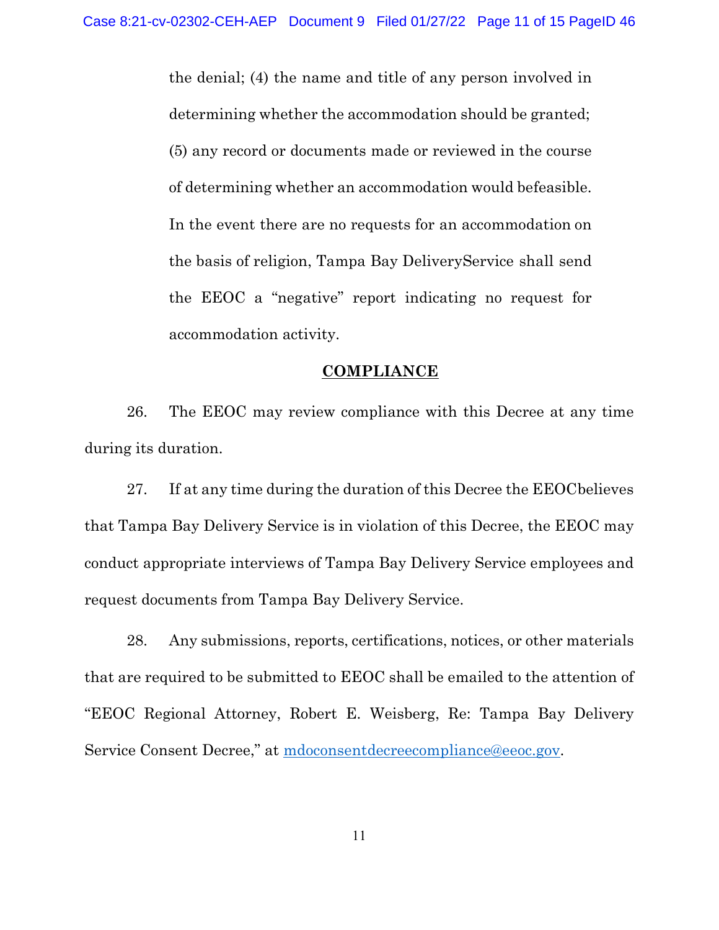the denial; (4) the name and title of any person involved in determining whether the accommodation should be granted; (5) any record or documents made or reviewed in the course of determining whether an accommodation would be feasible. In the event there are no requests for an accommodation on the basis of religion, Tampa Bay DeliveryService shall send the EEOC a "negative" report indicating no request for accommodation activity.

### **COMPLIANCE**

26. The EEOC may review compliance with this Decree at any time during its duration.

27. If at any time during the duration of this Decree the EEOC believes that Tampa Bay Delivery Service is in violation of this Decree, the EEOC may conduct appropriate interviews of Tampa Bay Delivery Service employees and request documents from Tampa Bay Delivery Service.

28. Any submissions, reports, certifications, notices, or other materials that are required to be submitted to EEOC shall be emailed to the attention of "EEOC Regional Attorney, Robert E. Weisberg, Re: Tampa Bay Delivery Service Consent Decree," at [mdoconsentdecreecompliance@eeoc.gov.](mailto:mdoconsentdecreecompliance@eeoc.gov)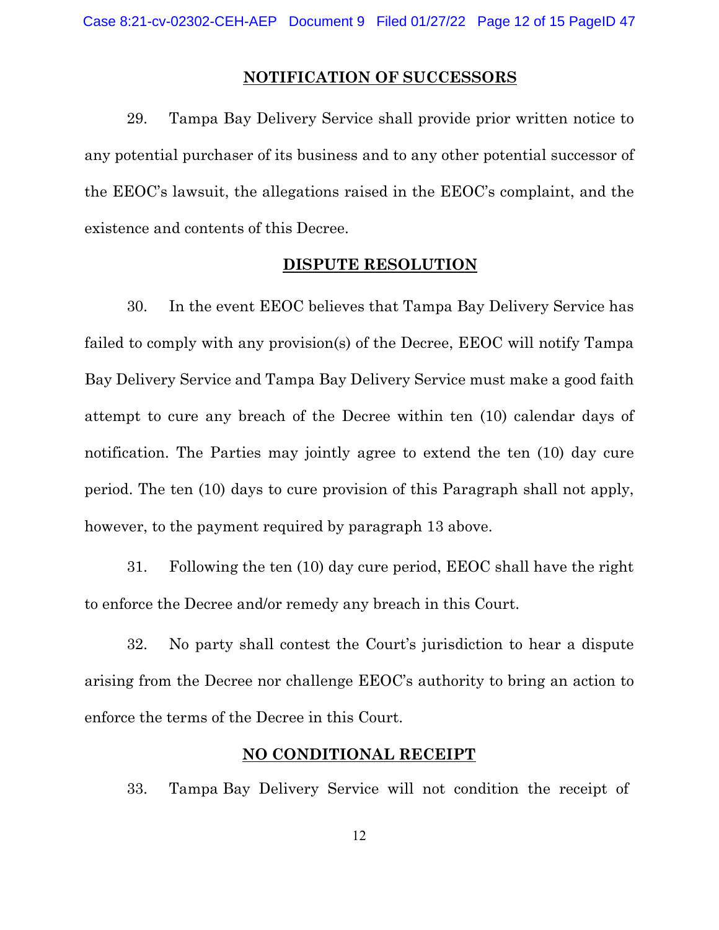## **NOTIFICATION OF SUCCESSORS**

29. Tampa Bay Delivery Service shall provide prior written notice to any potential purchaser of its business and to any other potential successor of the EEOC's lawsuit, the allegations raised in the EEOC's complaint, and the existence and contents of this Decree.

### **DISPUTE RESOLUTION**

30. In the event EEOC believes that Tampa Bay Delivery Service has failed to comply with any provision(s) of the Decree, EEOC will notify Tampa Bay Delivery Service and Tampa Bay Delivery Service must make a good faith attempt to cure any breach of the Decree within ten (10) calendar days of notification. The Parties may jointly agree to extend the ten (10) day cure period. The ten (10) days to cure provision of this Paragraph shall not apply, however, to the payment required by paragraph 13 above.

31. Following the ten (10) day cure period, EEOC shall have the right to enforce the Decree and/or remedy any breach in this Court.

32. No party shall contest the Court's jurisdiction to hear a dispute arising from the Decree nor challenge EEOC's authority to bring an action to enforce the terms of the Decree in this Court.

## **NO CONDITIONAL RECEIPT**

33. Tampa Bay Delivery Service will not condition the receipt of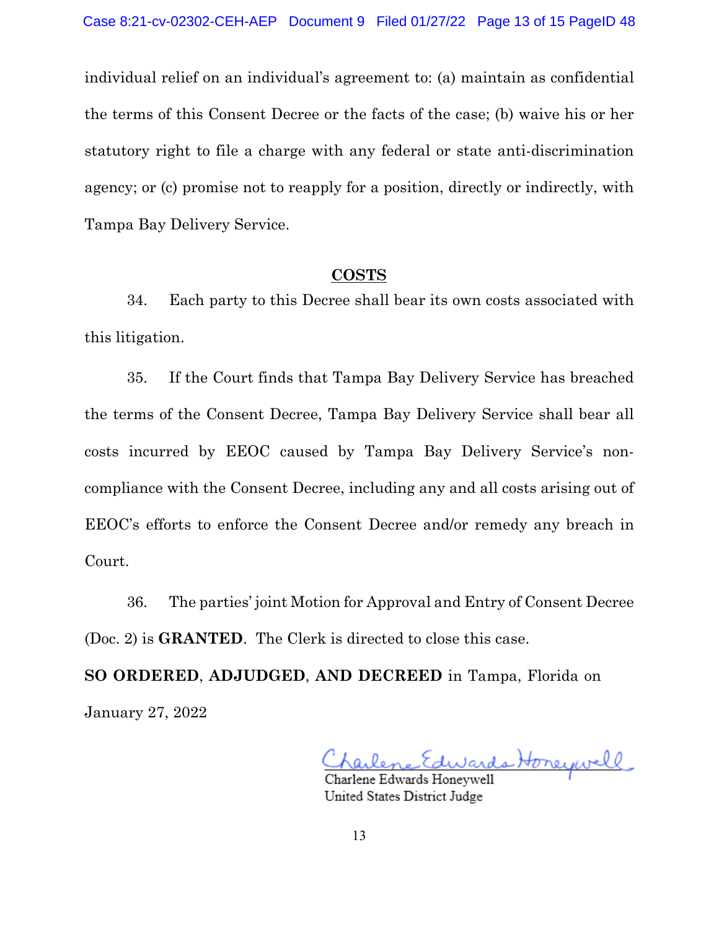individual relief on an individual's agreement to: (a) maintain as confidential the terms of this Consent Decree or the facts of the case; (b) waive his or her statutory right to file a charge with any federal or state anti-discrimination agency; or (c) promise not to reapply for a position, directly or indirectly, with Tampa Bay Delivery Service.

### **COSTS**

34. Each party to this Decree shall bear its own costs associated with this litigation.

35. If the Court finds that Tampa Bay Delivery Service has breached the terms of the Consent Decree, Tampa Bay Delivery Service shall bear all costs incurred by EEOC caused by Tampa Bay Delivery Service's noncompliance with the Consent Decree, including any and all costs arising out of EEOC's efforts to enforce the Consent Decree and/or remedy any breach in Court.

36. The parties' joint Motion for Approval and Entry of Consent Decree (Doc. 2) is **GRANTED**. The Clerk is directed to close this case.

**SO ORDERED**, **ADJUDGED**, **AND DECREED** in Tampa, Florida on January 27, 2022

Charlene Edwards Honeywell

United States District Judge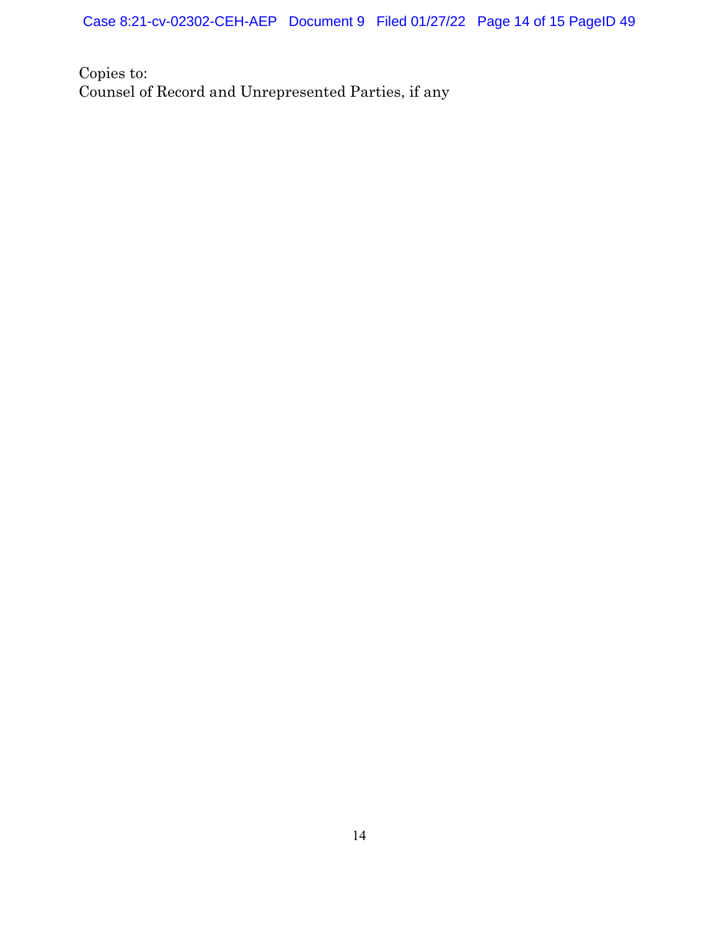Case 8:21-cv-02302-CEH-AEP Document 9 Filed 01/27/22 Page 14 of 15 PageID 49

Copies to: Counsel of Record and Unrepresented Parties, if any